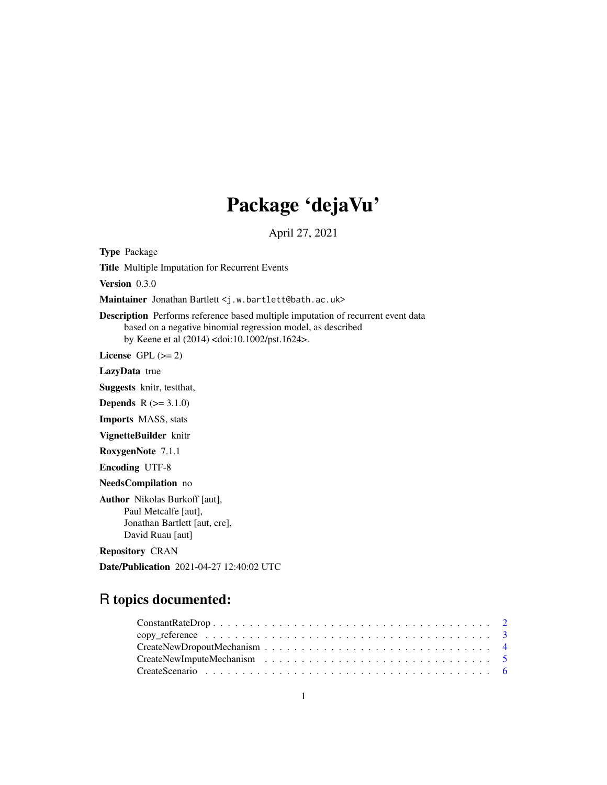# Package 'dejaVu'

April 27, 2021

Type Package

Title Multiple Imputation for Recurrent Events

Version 0.3.0

Maintainer Jonathan Bartlett <j.w.bartlett@bath.ac.uk>

Description Performs reference based multiple imputation of recurrent event data based on a negative binomial regression model, as described by Keene et al (2014) <doi:10.1002/pst.1624>.

License GPL  $(>= 2)$ 

LazyData true

Suggests knitr, testthat,

**Depends**  $R (= 3.1.0)$ 

Imports MASS, stats

VignetteBuilder knitr

RoxygenNote 7.1.1

Encoding UTF-8

NeedsCompilation no

Author Nikolas Burkoff [aut], Paul Metcalfe [aut], Jonathan Bartlett [aut, cre], David Ruau [aut]

Repository CRAN

Date/Publication 2021-04-27 12:40:02 UTC

# R topics documented: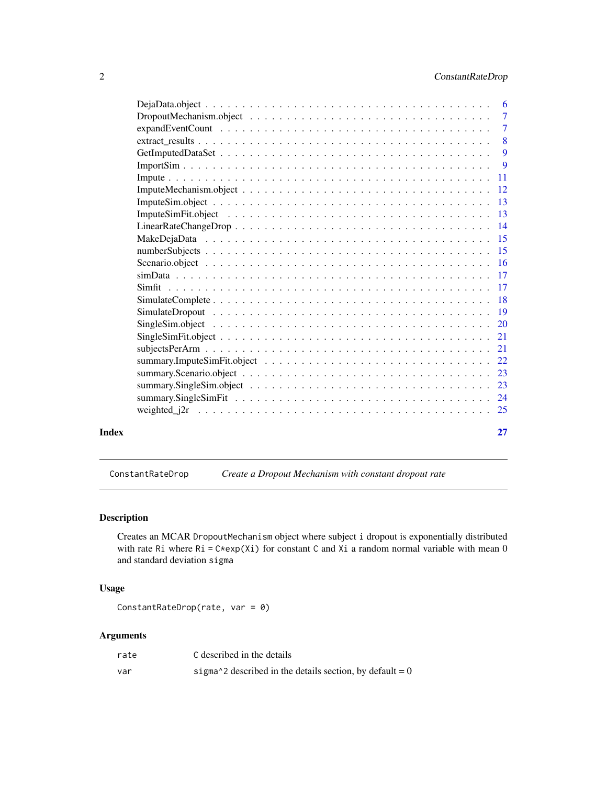<span id="page-1-0"></span>

|       | $\overline{7}$ |
|-------|----------------|
|       |                |
|       | 9              |
|       |                |
|       |                |
|       |                |
|       |                |
|       |                |
|       |                |
|       |                |
|       |                |
|       |                |
|       |                |
|       |                |
|       |                |
|       |                |
|       |                |
|       |                |
|       |                |
|       |                |
|       |                |
|       |                |
|       |                |
|       |                |
| Index | 27             |

<span id="page-1-1"></span>ConstantRateDrop *Create a Dropout Mechanism with constant dropout rate*

# Description

Creates an MCAR DropoutMechanism object where subject i dropout is exponentially distributed with rate Ri where Ri =  $C*exp(Xi)$  for constant C and Xi a random normal variable with mean 0 and standard deviation sigma

# Usage

```
ConstantRateDrop(rate, var = 0)
```
# Arguments

| rate | C described in the details                                                               |
|------|------------------------------------------------------------------------------------------|
| var  | sigma <sup><math>\lambda</math></sup> 2 described in the details section, by default = 0 |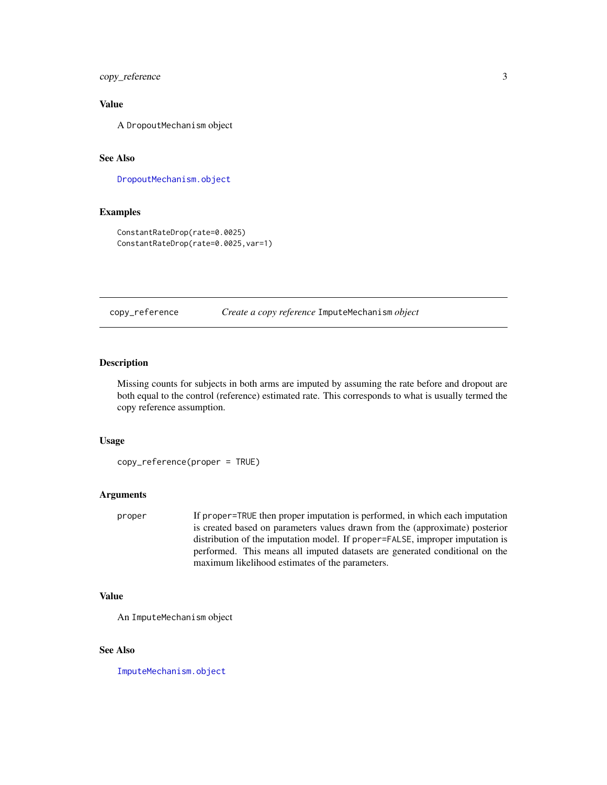<span id="page-2-0"></span>copy\_reference 3

# Value

A DropoutMechanism object

# See Also

[DropoutMechanism.object](#page-6-1)

#### Examples

```
ConstantRateDrop(rate=0.0025)
ConstantRateDrop(rate=0.0025,var=1)
```
copy\_reference *Create a copy reference* ImputeMechanism *object*

#### Description

Missing counts for subjects in both arms are imputed by assuming the rate before and dropout are both equal to the control (reference) estimated rate. This corresponds to what is usually termed the copy reference assumption.

# Usage

```
copy_reference(proper = TRUE)
```
#### Arguments

proper If proper=TRUE then proper imputation is performed, in which each imputation is created based on parameters values drawn from the (approximate) posterior distribution of the imputation model. If proper=FALSE, improper imputation is performed. This means all imputed datasets are generated conditional on the maximum likelihood estimates of the parameters.

#### Value

```
An ImputeMechanism object
```
# See Also

[ImputeMechanism.object](#page-11-1)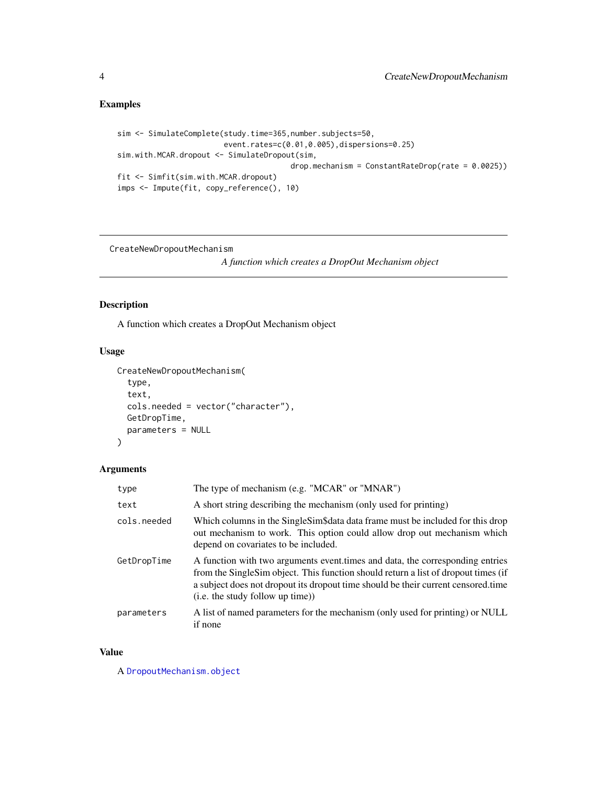# <span id="page-3-0"></span>Examples

```
sim <- SimulateComplete(study.time=365,number.subjects=50,
                       event.rates=c(0.01,0.005),dispersions=0.25)
sim.with.MCAR.dropout <- SimulateDropout(sim,
                                       drop.mechanism = ConstantRateDrop(rate = 0.0025))
fit <- Simfit(sim.with.MCAR.dropout)
imps <- Impute(fit, copy_reference(), 10)
```
CreateNewDropoutMechanism

*A function which creates a DropOut Mechanism object*

# Description

A function which creates a DropOut Mechanism object

# Usage

```
CreateNewDropoutMechanism(
  type,
  text,
  cols.needed = vector("character"),
  GetDropTime,
  parameters = NULL
\mathcal{L}
```
# Arguments

| type        | The type of mechanism (e.g. "MCAR" or "MNAR")                                                                                                                                                                                                                                                |
|-------------|----------------------------------------------------------------------------------------------------------------------------------------------------------------------------------------------------------------------------------------------------------------------------------------------|
| text        | A short string describing the mechanism (only used for printing)                                                                                                                                                                                                                             |
| cols.needed | Which columns in the Single Sim\$data data frame must be included for this drop<br>out mechanism to work. This option could allow drop out mechanism which<br>depend on covariates to be included.                                                                                           |
| GetDropTime | A function with two arguments event times and data, the corresponding entries<br>from the SingleSim object. This function should return a list of dropout times (if<br>a subject does not dropout its dropout time should be their current censored time<br>(i.e. the study follow up time)) |
| parameters  | A list of named parameters for the mechanism (only used for printing) or NULL<br>if none                                                                                                                                                                                                     |

# Value

A [DropoutMechanism.object](#page-6-1)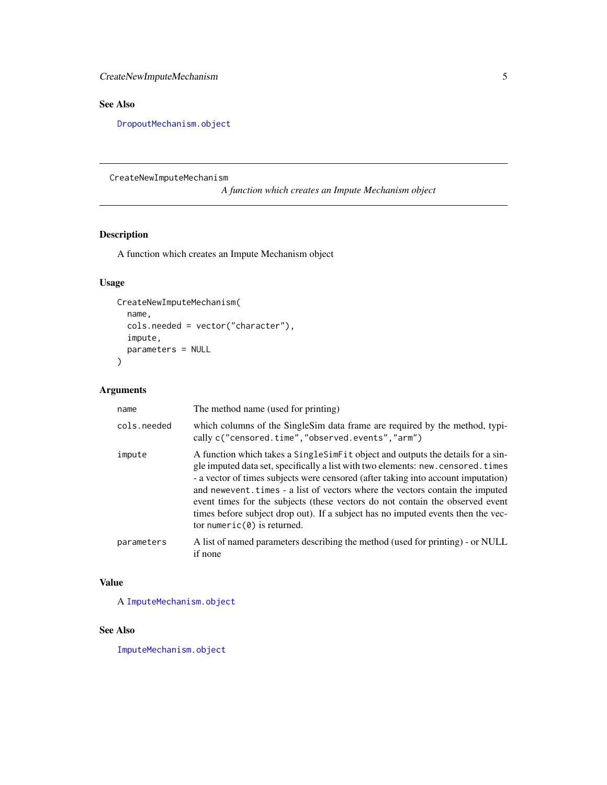# <span id="page-4-0"></span>See Also

[DropoutMechanism.object](#page-6-1)

CreateNewImputeMechanism

*A function which creates an Impute Mechanism object*

# Description

A function which creates an Impute Mechanism object

# Usage

```
CreateNewImputeMechanism(
  name,
  cols.needed = vector("character"),
  impute,
  parameters = NULL
\mathcal{L}
```
# Arguments

| name        | The method name (used for printing)                                                                                                                                                                                                                                                                                                                                                                                                                                                                                                                |
|-------------|----------------------------------------------------------------------------------------------------------------------------------------------------------------------------------------------------------------------------------------------------------------------------------------------------------------------------------------------------------------------------------------------------------------------------------------------------------------------------------------------------------------------------------------------------|
| cols.needed | which columns of the SingleSim data frame are required by the method, typi-<br>cally c("censored.time","observed.events","arm")                                                                                                                                                                                                                                                                                                                                                                                                                    |
| impute      | A function which takes a Single Sim Fit object and outputs the details for a sin-<br>gle imputed data set, specifically a list with two elements: new. censored. times<br>- a vector of times subjects were censored (after taking into account imputation)<br>and newevent times - a list of vectors where the vectors contain the imputed<br>event times for the subjects (these vectors do not contain the observed event<br>times before subject drop out). If a subject has no imputed events then the vec-<br>tor numeric $(0)$ is returned. |
| parameters  | A list of named parameters describing the method (used for printing) - or NULL<br>if none                                                                                                                                                                                                                                                                                                                                                                                                                                                          |

#### Value

A [ImputeMechanism.object](#page-11-1)

# See Also

[ImputeMechanism.object](#page-11-1)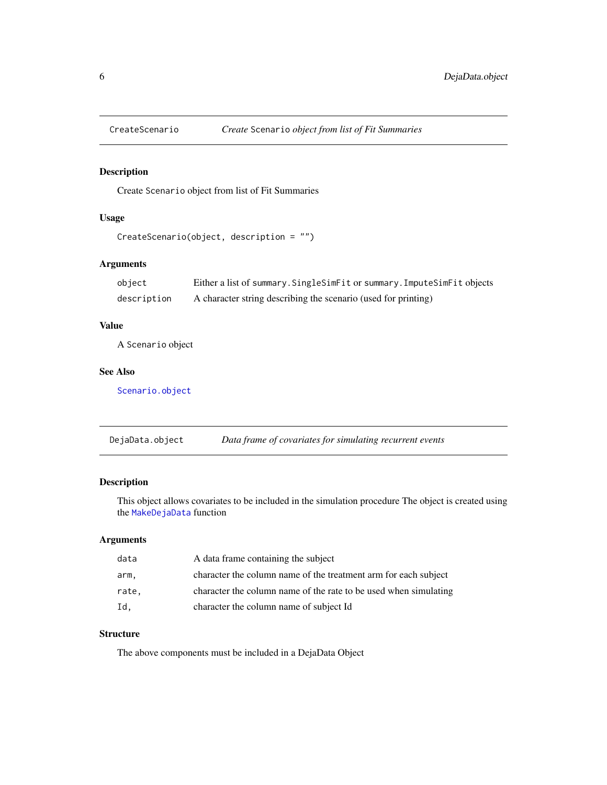<span id="page-5-1"></span><span id="page-5-0"></span>

# Description

Create Scenario object from list of Fit Summaries

# Usage

```
CreateScenario(object, description = "")
```
#### Arguments

| object      | Either a list of summary. Single SimFit or summary. Impute SimFit objects |
|-------------|---------------------------------------------------------------------------|
| description | A character string describing the scenario (used for printing)            |

#### Value

A Scenario object

#### See Also

[Scenario.object](#page-15-1)

DejaData.object *Data frame of covariates for simulating recurrent events*

# Description

This object allows covariates to be included in the simulation procedure The object is created using the [MakeDejaData](#page-14-1) function

# Arguments

| data  | A data frame containing the subject                              |
|-------|------------------------------------------------------------------|
| arm.  | character the column name of the treatment arm for each subject  |
| rate. | character the column name of the rate to be used when simulating |
| Id.   | character the column name of subject Id                          |

#### **Structure**

The above components must be included in a DejaData Object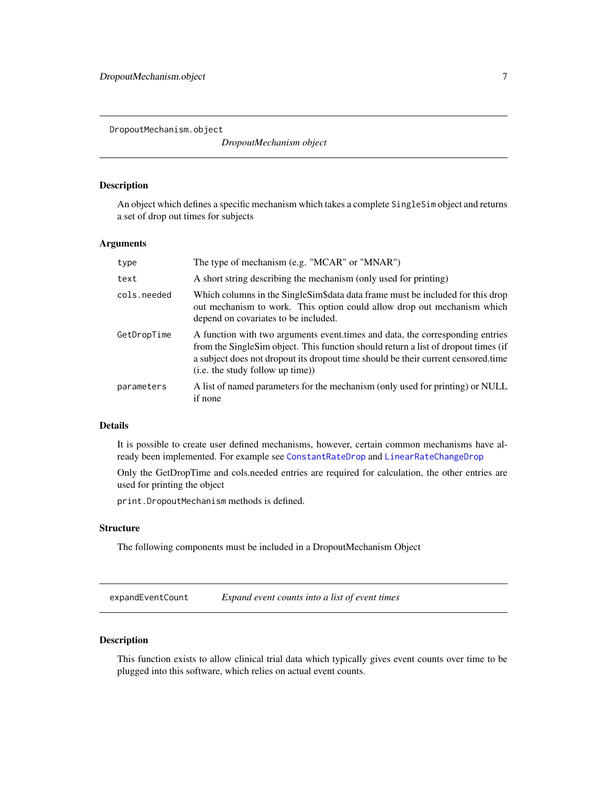<span id="page-6-1"></span><span id="page-6-0"></span>DropoutMechanism.object

*DropoutMechanism object*

# Description

An object which defines a specific mechanism which takes a complete SingleSim object and returns a set of drop out times for subjects

#### Arguments

| type        | The type of mechanism (e.g. "MCAR" or "MNAR")                                                                                                                                                                                                                                                  |
|-------------|------------------------------------------------------------------------------------------------------------------------------------------------------------------------------------------------------------------------------------------------------------------------------------------------|
| text        | A short string describing the mechanism (only used for printing)                                                                                                                                                                                                                               |
| cols.needed | Which columns in the Single Sim\$data data frame must be included for this drop<br>out mechanism to work. This option could allow drop out mechanism which<br>depend on covariates to be included.                                                                                             |
| GetDropTime | A function with two arguments event, times and data, the corresponding entries<br>from the SingleSim object. This function should return a list of dropout times (if<br>a subject does not dropout its dropout time should be their current censored, time<br>(i.e. the study follow up time)) |
| parameters  | A list of named parameters for the mechanism (only used for printing) or NULL<br>if none                                                                                                                                                                                                       |

#### Details

It is possible to create user defined mechanisms, however, certain common mechanisms have already been implemented. For example see [ConstantRateDrop](#page-1-1) and [LinearRateChangeDrop](#page-13-1)

Only the GetDropTime and cols.needed entries are required for calculation, the other entries are used for printing the object

print.DropoutMechanism methods is defined.

#### **Structure**

The following components must be included in a DropoutMechanism Object

expandEventCount *Expand event counts into a list of event times*

#### Description

This function exists to allow clinical trial data which typically gives event counts over time to be plugged into this software, which relies on actual event counts.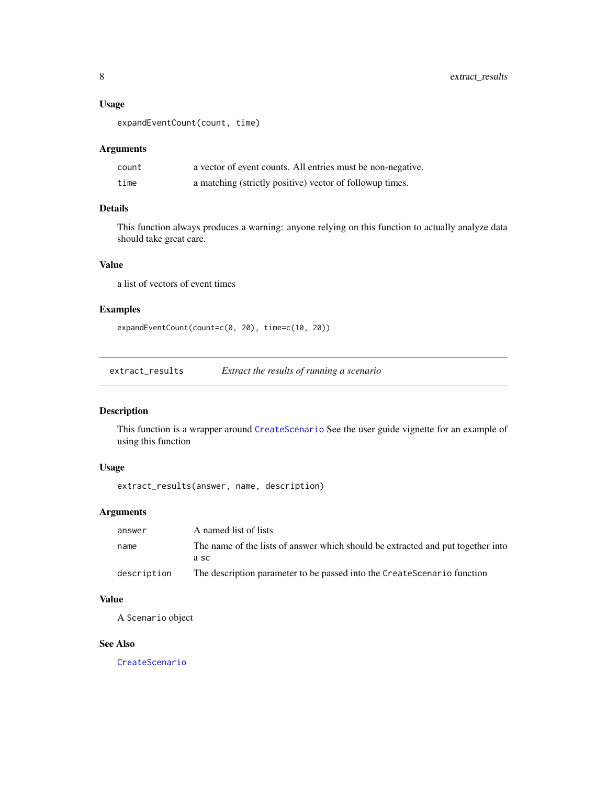# <span id="page-7-0"></span>Usage

expandEventCount(count, time)

# Arguments

| count | a vector of event counts. All entries must be non-negative. |
|-------|-------------------------------------------------------------|
| time  | a matching (strictly positive) vector of followup times.    |

# Details

This function always produces a warning: anyone relying on this function to actually analyze data should take great care.

#### Value

a list of vectors of event times

## Examples

expandEventCount(count=c(0, 20), time=c(10, 20))

extract\_results *Extract the results of running a scenario*

#### Description

This function is a wrapper around [CreateScenario](#page-5-1) See the user guide vignette for an example of using this function

#### Usage

```
extract_results(answer, name, description)
```
# Arguments

| answer      | A named list of lists                                                           |
|-------------|---------------------------------------------------------------------------------|
| name        | The name of the lists of answer which should be extracted and put together into |
|             | a sc                                                                            |
| description | The description parameter to be passed into the CreateScenario function         |

# Value

A Scenario object

#### See Also

[CreateScenario](#page-5-1)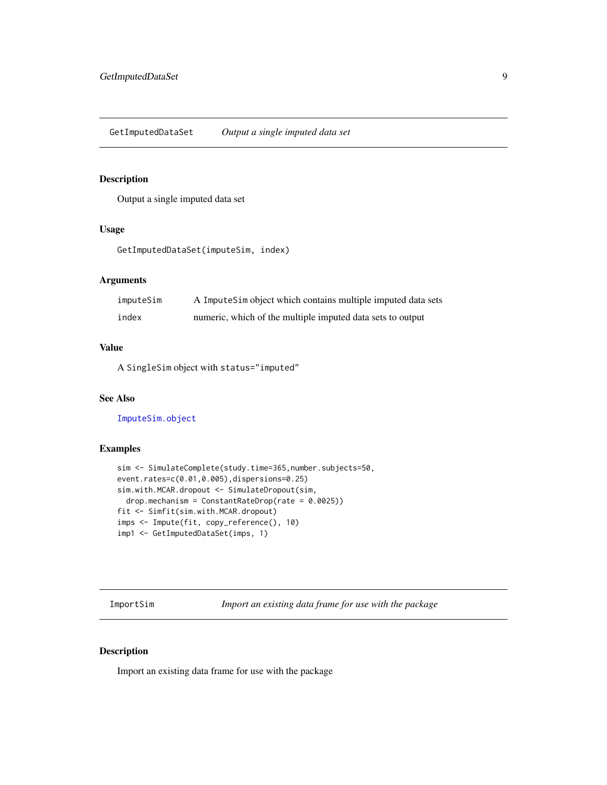# <span id="page-8-1"></span><span id="page-8-0"></span>Description

Output a single imputed data set

#### Usage

```
GetImputedDataSet(imputeSim, index)
```
# Arguments

| imputeSim | A Impute Sim object which contains multiple imputed data sets |
|-----------|---------------------------------------------------------------|
| index     | numeric, which of the multiple imputed data sets to output    |

#### Value

A SingleSim object with status="imputed"

# See Also

[ImputeSim.object](#page-12-1)

#### Examples

```
sim <- SimulateComplete(study.time=365,number.subjects=50,
event.rates=c(0.01,0.005),dispersions=0.25)
sim.with.MCAR.dropout <- SimulateDropout(sim,
  drop.mechanism = ConstantRateDrop(rate = 0.0025))
fit <- Simfit(sim.with.MCAR.dropout)
imps <- Impute(fit, copy_reference(), 10)
imp1 <- GetImputedDataSet(imps, 1)
```
<span id="page-8-2"></span>ImportSim *Import an existing data frame for use with the package*

# Description

Import an existing data frame for use with the package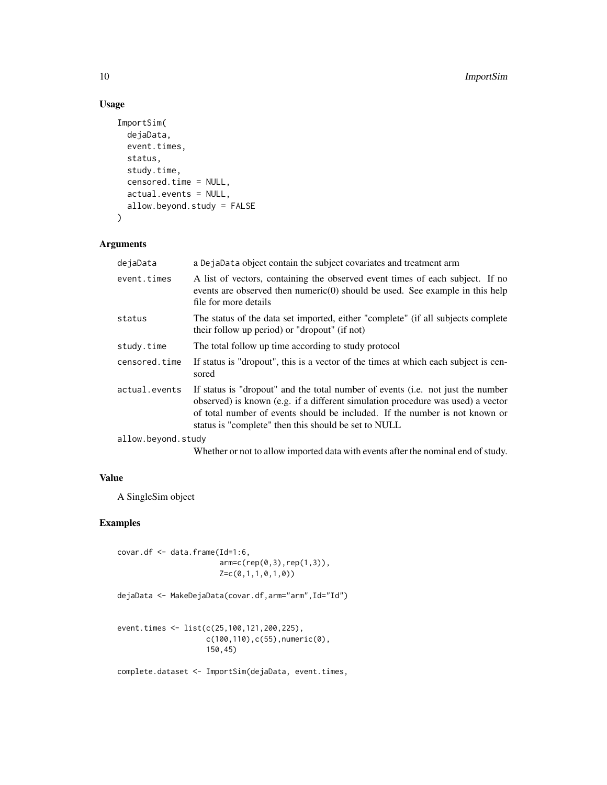# Usage

```
ImportSim(
 dejaData,
  event.times,
  status,
  study.time,
  censored.time = NULL,
  actual.events = NULL,
  allow.beyond.study = FALSE
\mathcal{L}
```
# Arguments

| dejaData           | a DejaData object contain the subject covariates and treatment arm                                                                                                                                                                                                                                        |
|--------------------|-----------------------------------------------------------------------------------------------------------------------------------------------------------------------------------------------------------------------------------------------------------------------------------------------------------|
| event.times        | A list of vectors, containing the observed event times of each subject. If no<br>events are observed then numeric $(0)$ should be used. See example in this help<br>file for more details                                                                                                                 |
| status             | The status of the data set imported, either "complete" (if all subjects complete<br>their follow up period) or "dropout" (if not)                                                                                                                                                                         |
| study.time         | The total follow up time according to study protocol                                                                                                                                                                                                                                                      |
| censored.time      | If status is "dropout", this is a vector of the times at which each subject is cen-<br>sored                                                                                                                                                                                                              |
| actual.events      | If status is "dropout" and the total number of events (i.e. not just the number<br>observed) is known (e.g. if a different simulation procedure was used) a vector<br>of total number of events should be included. If the number is not known or<br>status is "complete" then this should be set to NULL |
| allow.beyond.study |                                                                                                                                                                                                                                                                                                           |

Whether or not to allow imported data with events after the nominal end of study.

# Value

A SingleSim object

# Examples

```
covar.df <- data.frame(Id=1:6,
                       arm=c(rep(0,3),rep(1,3)),
                       Z=c(0,1,1,0,1,0))
dejaData <- MakeDejaData(covar.df,arm="arm",Id="Id")
```

```
event.times <- list(c(25,100,121,200,225),
                    c(100,110),c(55),numeric(0),
                    150,45)
```
complete.dataset <- ImportSim(dejaData, event.times,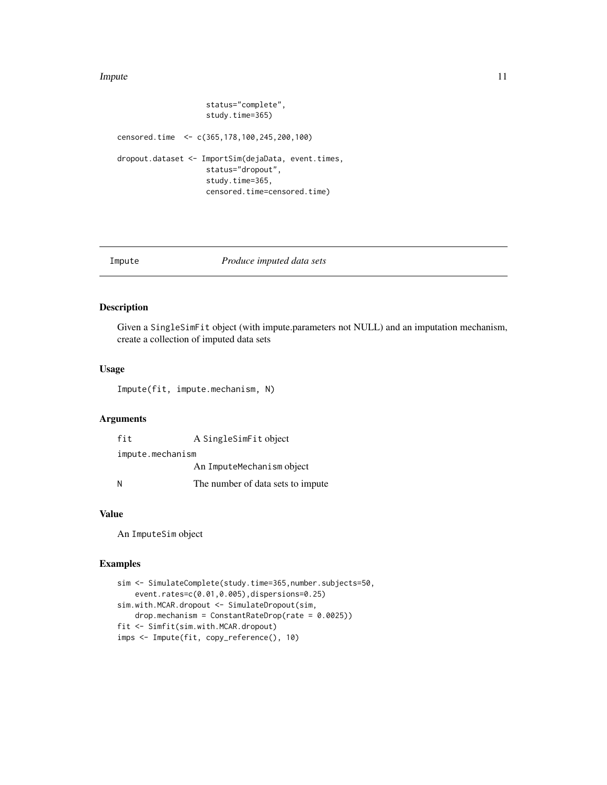#### <span id="page-10-0"></span>Impute the contract of the contract of the contract of the contract of the contract of the contract of the contract of the contract of the contract of the contract of the contract of the contract of the contract of the con

```
status="complete",
                    study.time=365)
censored.time <- c(365,178,100,245,200,100)
dropout.dataset <- ImportSim(dejaData, event.times,
                    status="dropout",
                    study.time=365,
                    censored.time=censored.time)
```
#### Impute *Produce imputed data sets*

#### Description

Given a SingleSimFit object (with impute.parameters not NULL) and an imputation mechanism, create a collection of imputed data sets

#### Usage

Impute(fit, impute.mechanism, N)

# Arguments

| fit              | A SingleSimFit object             |
|------------------|-----------------------------------|
| impute.mechanism |                                   |
|                  | An ImputeMechanism object         |
| N                | The number of data sets to impute |

#### Value

An ImputeSim object

#### Examples

```
sim <- SimulateComplete(study.time=365,number.subjects=50,
   event.rates=c(0.01,0.005),dispersions=0.25)
sim.with.MCAR.dropout <- SimulateDropout(sim,
   drop.mechanism = ConstantRateDrop(rate = 0.0025))
fit <- Simfit(sim.with.MCAR.dropout)
imps <- Impute(fit, copy_reference(), 10)
```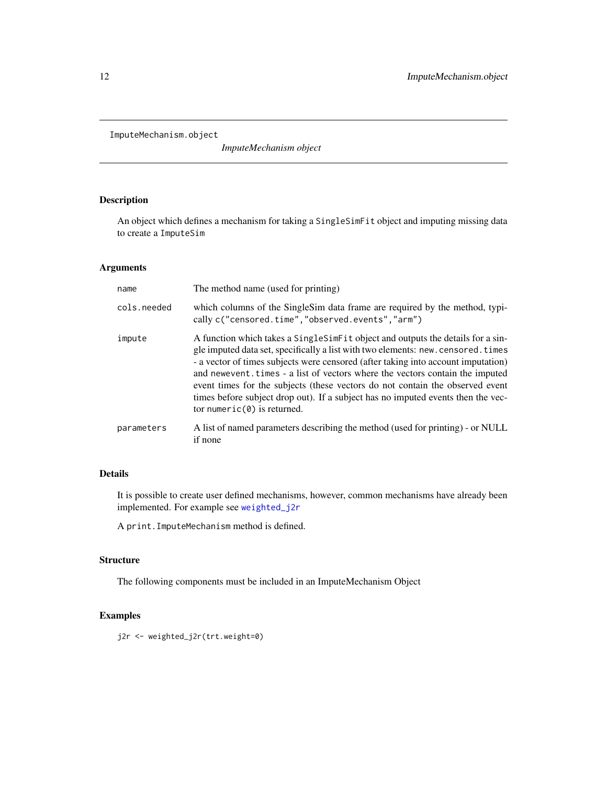<span id="page-11-1"></span><span id="page-11-0"></span>ImputeMechanism.object

*ImputeMechanism object*

# Description

An object which defines a mechanism for taking a SingleSimFit object and imputing missing data to create a ImputeSim

## Arguments

| name        | The method name (used for printing)                                                                                                                                                                                                                                                                                                                                                                                                                                                                                                             |
|-------------|-------------------------------------------------------------------------------------------------------------------------------------------------------------------------------------------------------------------------------------------------------------------------------------------------------------------------------------------------------------------------------------------------------------------------------------------------------------------------------------------------------------------------------------------------|
| cols.needed | which columns of the Singlestim data frame are required by the method, typi-<br>cally c("censored.time","observed.events","arm")                                                                                                                                                                                                                                                                                                                                                                                                                |
| impute      | A function which takes a SingleSimFit object and outputs the details for a sin-<br>gle imputed data set, specifically a list with two elements: new.censored.times<br>- a vector of times subjects were censored (after taking into account imputation)<br>and newevent. times - a list of vectors where the vectors contain the imputed<br>event times for the subjects (these vectors do not contain the observed event<br>times before subject drop out). If a subject has no imputed events then the vec-<br>tor numeric $(0)$ is returned. |
| parameters  | A list of named parameters describing the method (used for printing) - or NULL<br>if none                                                                                                                                                                                                                                                                                                                                                                                                                                                       |

# Details

It is possible to create user defined mechanisms, however, common mechanisms have already been implemented. For example see [weighted\\_j2r](#page-24-1)

A print.ImputeMechanism method is defined.

#### **Structure**

The following components must be included in an ImputeMechanism Object

# Examples

j2r <- weighted\_j2r(trt.weight=0)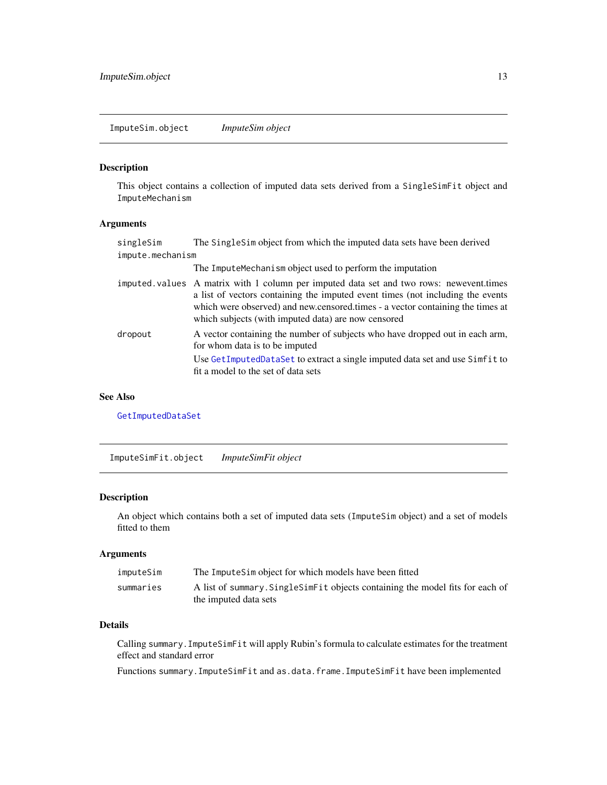<span id="page-12-1"></span><span id="page-12-0"></span>ImputeSim.object *ImputeSim object*

#### Description

This object contains a collection of imputed data sets derived from a SingleSimFit object and ImputeMechanism

# Arguments

| singleSim        | The SingleSim object from which the imputed data sets have been derived                                                                                                                                                                                                                                            |
|------------------|--------------------------------------------------------------------------------------------------------------------------------------------------------------------------------------------------------------------------------------------------------------------------------------------------------------------|
| impute.mechanism |                                                                                                                                                                                                                                                                                                                    |
|                  | The ImputeMechanism object used to perform the imputation                                                                                                                                                                                                                                                          |
|                  | imputed values A matrix with 1 column per imputed data set and two rows: newevent times<br>a list of vectors containing the imputed event times (not including the events<br>which were observed) and new censored times - a vector containing the times at<br>which subjects (with imputed data) are now censored |
| dropout          | A vector containing the number of subjects who have dropped out in each arm,<br>for whom data is to be imputed<br>Use GetImputedDataSet to extract a single imputed data set and use Simfit to<br>fit a model to the set of data sets                                                                              |
|                  |                                                                                                                                                                                                                                                                                                                    |

#### See Also

[GetImputedDataSet](#page-8-1)

ImputeSimFit.object *ImputeSimFit object*

#### Description

An object which contains both a set of imputed data sets (ImputeSim object) and a set of models fitted to them

# Arguments

| imputeSim | The ImputeSim object for which models have been fitted                           |
|-----------|----------------------------------------------------------------------------------|
| summaries | A list of summary. Single Sime Fit objects containing the model fits for each of |
|           | the imputed data sets                                                            |

# Details

Calling summary.ImputeSimFit will apply Rubin's formula to calculate estimates for the treatment effect and standard error

Functions summary.ImputeSimFit and as.data.frame.ImputeSimFit have been implemented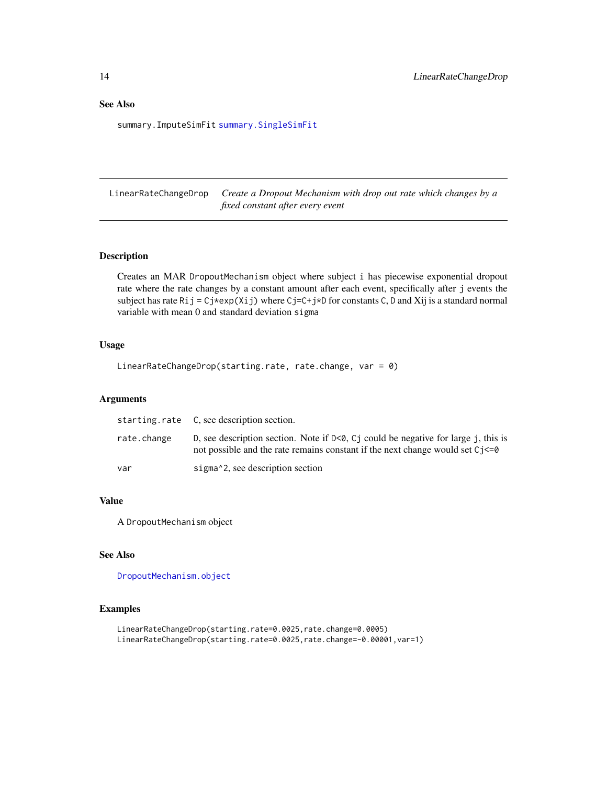<span id="page-13-0"></span>summary.ImputeSimFit [summary.SingleSimFit](#page-23-1)

<span id="page-13-1"></span>LinearRateChangeDrop *Create a Dropout Mechanism with drop out rate which changes by a fixed constant after every event*

# Description

Creates an MAR DropoutMechanism object where subject i has piecewise exponential dropout rate where the rate changes by a constant amount after each event, specifically after j events the subject has rate Ri  $j = Cj*exp(Xij)$  where  $Cj=C+j*D$  for constants C, D and Xij is a standard normal variable with mean 0 and standard deviation sigma

#### Usage

```
LinearRateChangeDrop(starting.rate, rate.change, var = 0)
```
#### Arguments

|             | starting.rate C, see description section.                                                                                                                                      |
|-------------|--------------------------------------------------------------------------------------------------------------------------------------------------------------------------------|
| rate.change | D, see description section. Note if $D<0$ , C i could be negative for large j, this is<br>not possible and the rate remains constant if the next change would set $C_1 \leq 0$ |
| var         | sigma <sup>2</sup> , see description section                                                                                                                                   |

#### Value

A DropoutMechanism object

# See Also

[DropoutMechanism.object](#page-6-1)

#### Examples

```
LinearRateChangeDrop(starting.rate=0.0025,rate.change=0.0005)
LinearRateChangeDrop(starting.rate=0.0025,rate.change=-0.00001,var=1)
```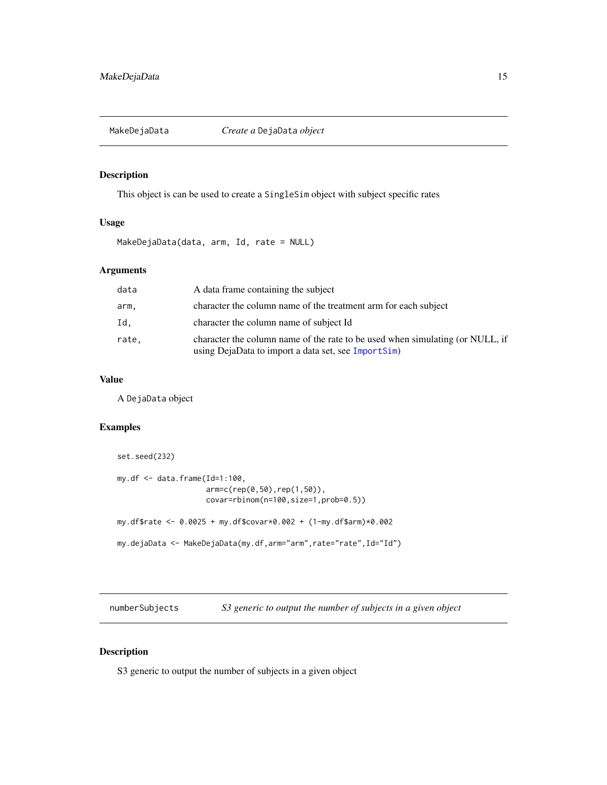<span id="page-14-1"></span><span id="page-14-0"></span>

## Description

This object is can be used to create a SingleSim object with subject specific rates

# Usage

MakeDejaData(data, arm, Id, rate = NULL)

# Arguments

| data  | A data frame containing the subject                                                                                                  |
|-------|--------------------------------------------------------------------------------------------------------------------------------------|
| arm.  | character the column name of the treatment arm for each subject                                                                      |
| Id.   | character the column name of subject Id                                                                                              |
| rate, | character the column name of the rate to be used when simulating (or NULL, if<br>using DejaData to import a data set, see ImportSim) |

#### Value

A DejaData object

# Examples

```
set.seed(232)
my.df \leq data.frame(Id=1:100,
                    arm=c(rep(0,50),rep(1,50)),
                    covar=rbinom(n=100,size=1,prob=0.5))
my.df$rate <- 0.0025 + my.df$covar*0.002 + (1-my.df$arm)*0.002
my.dejaData <- MakeDejaData(my.df,arm="arm",rate="rate",Id="Id")
```
numberSubjects *S3 generic to output the number of subjects in a given object*

# Description

S3 generic to output the number of subjects in a given object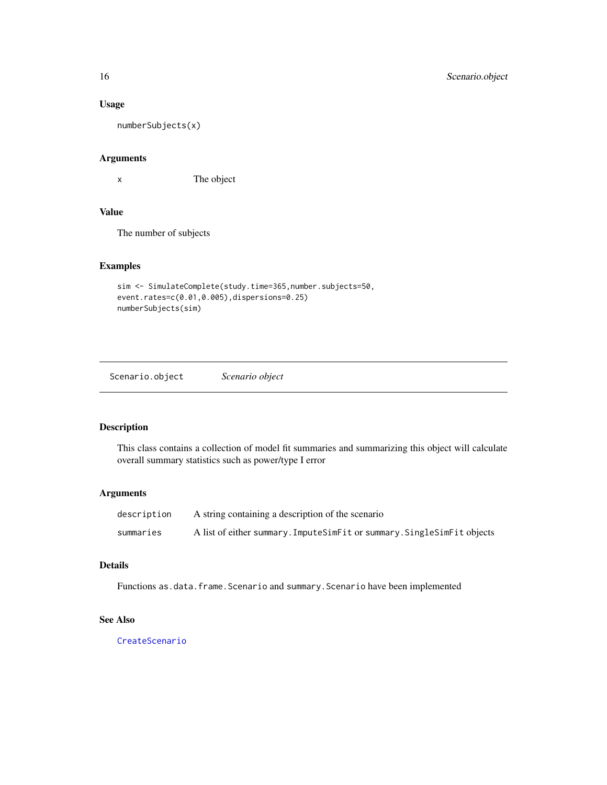#### <span id="page-15-0"></span>Usage

numberSubjects(x)

# Arguments

x The object

# Value

The number of subjects

# Examples

```
sim <- SimulateComplete(study.time=365,number.subjects=50,
event.rates=c(0.01,0.005),dispersions=0.25)
numberSubjects(sim)
```
<span id="page-15-1"></span>Scenario.object *Scenario object*

#### Description

This class contains a collection of model fit summaries and summarizing this object will calculate overall summary statistics such as power/type I error

#### Arguments

| description | A string containing a description of the scenario                       |
|-------------|-------------------------------------------------------------------------|
| summaries   | A list of either summary. ImputeSimFit or summary. SingleSimFit objects |

# Details

Functions as.data.frame.Scenario and summary.Scenario have been implemented

# See Also

[CreateScenario](#page-5-1)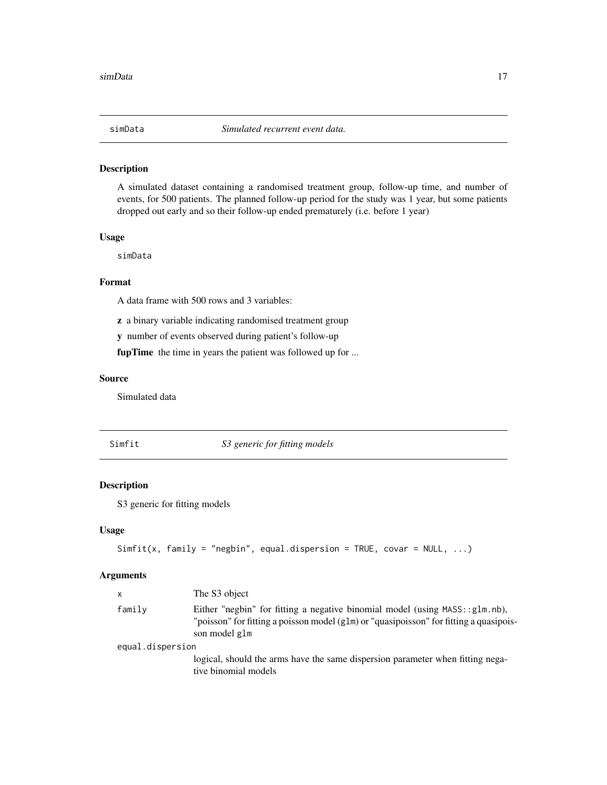<span id="page-16-0"></span>

# Description

A simulated dataset containing a randomised treatment group, follow-up time, and number of events, for 500 patients. The planned follow-up period for the study was 1 year, but some patients dropped out early and so their follow-up ended prematurely (i.e. before 1 year)

#### Usage

simData

#### Format

A data frame with 500 rows and 3 variables:

z a binary variable indicating randomised treatment group

y number of events observed during patient's follow-up

fupTime the time in years the patient was followed up for ...

#### Source

Simulated data

Simfit *S3 generic for fitting models*

# Description

S3 generic for fitting models

#### Usage

```
Simfit(x, family = "negbin", equal.dispersion = TRUE, covar = NULL, ...)
```
#### Arguments

| family<br>Either "negbin" for fitting a negative binomial model (using $MASS: glm.nb$ ),                |  |
|---------------------------------------------------------------------------------------------------------|--|
| "poisson" for fitting a poisson model (g1m) or "quasipoisson" for fitting a quasipois-<br>son model glm |  |
| equal.dispersion                                                                                        |  |
| logical, should the arms have the same dispersion parameter when fitting nega-<br>tive binomial models  |  |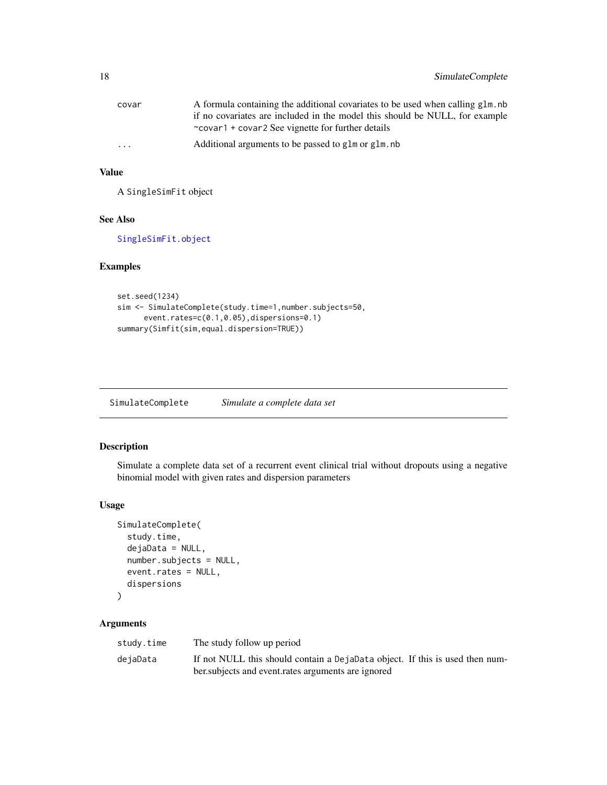<span id="page-17-0"></span>

| covar    | A formula containing the additional covariates to be used when calling glm, nb |
|----------|--------------------------------------------------------------------------------|
|          | if no covariates are included in the model this should be NULL, for example    |
|          | $\sim$ covar1 + covar2 See vignette for further details                        |
| $\cdots$ | Additional arguments to be passed to glm or glm, nb                            |

## Value

A SingleSimFit object

#### See Also

[SingleSimFit.object](#page-20-1)

# Examples

```
set.seed(1234)
sim <- SimulateComplete(study.time=1,number.subjects=50,
      event.rates=c(0.1,0.05),dispersions=0.1)
summary(Simfit(sim,equal.dispersion=TRUE))
```
SimulateComplete *Simulate a complete data set*

# Description

Simulate a complete data set of a recurrent event clinical trial without dropouts using a negative binomial model with given rates and dispersion parameters

#### Usage

```
SimulateComplete(
  study.time,
  dejaData = NULL,
  number.subjects = NULL,
  event.rates = NULL,
  dispersions
)
```
# Arguments

| study.time | The study follow up period                                                   |
|------------|------------------------------------------------------------------------------|
| dejaData   | If not NULL this should contain a DejaData object. If this is used then num- |
|            | ber subjects and event rates arguments are ignored                           |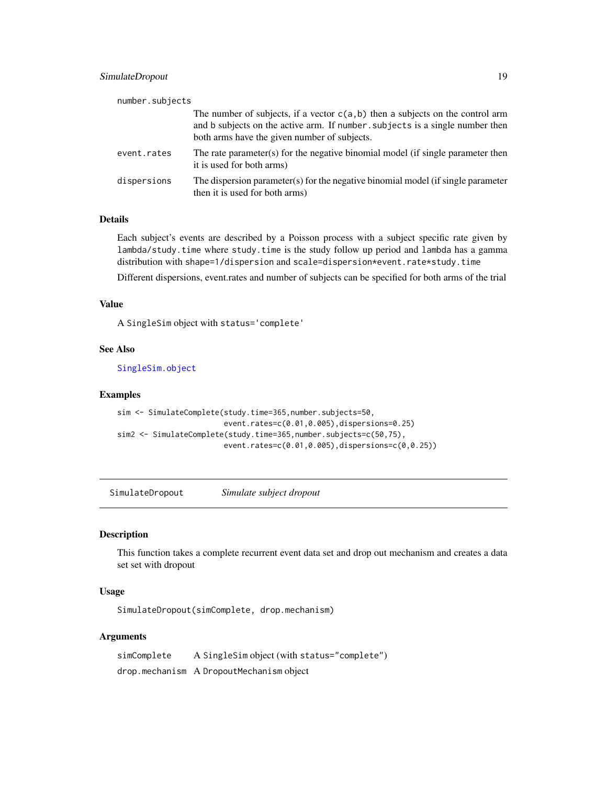# <span id="page-18-0"></span>SimulateDropout 19

| number.subjects |                                                                                                                                                                                                                   |
|-----------------|-------------------------------------------------------------------------------------------------------------------------------------------------------------------------------------------------------------------|
|                 | The number of subjects, if a vector $c(a, b)$ then a subjects on the control arm<br>and b subjects on the active arm. If number, subjects is a single number then<br>both arms have the given number of subjects. |
| event.rates     | The rate parameter(s) for the negative binomial model (if single parameter then<br>it is used for both arms)                                                                                                      |
| dispersions     | The dispersion parameter(s) for the negative binomial model (if single parameter<br>then it is used for both arms)                                                                                                |

# Details

Each subject's events are described by a Poisson process with a subject specific rate given by lambda/study.time where study.time is the study follow up period and lambda has a gamma distribution with shape=1/dispersion and scale=dispersion\*event.rate\*study.time

Different dispersions, event.rates and number of subjects can be specified for both arms of the trial

#### Value

A SingleSim object with status='complete'

# See Also

[SingleSim.object](#page-19-1)

#### Examples

```
sim <- SimulateComplete(study.time=365,number.subjects=50,
                        event.rates=c(0.01,0.005),dispersions=0.25)
sim2 <- SimulateComplete(study.time=365,number.subjects=c(50,75),
                        event.rates=c(0.01,0.005),dispersions=c(0,0.25))
```
SimulateDropout *Simulate subject dropout*

# Description

This function takes a complete recurrent event data set and drop out mechanism and creates a data set set with dropout

#### Usage

SimulateDropout(simComplete, drop.mechanism)

# Arguments

simComplete A SingleSim object (with status="complete") drop.mechanism A DropoutMechanism object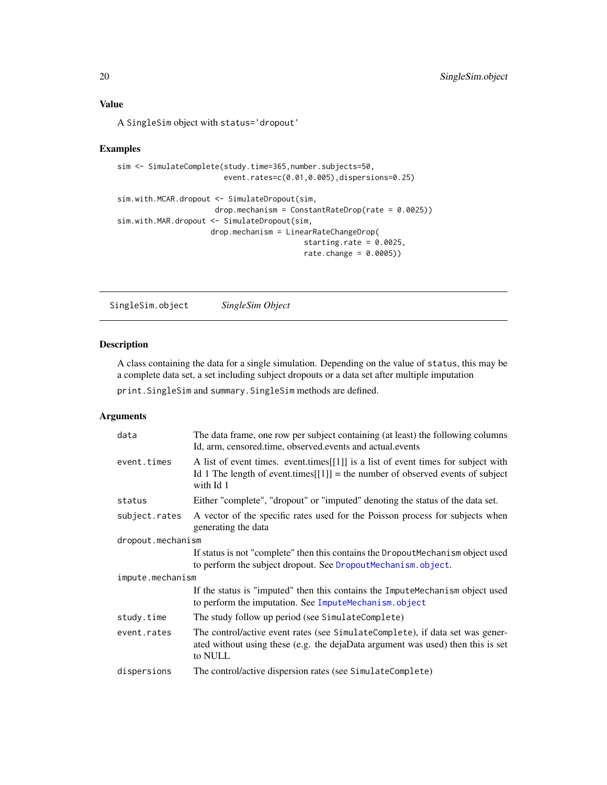<span id="page-19-0"></span>A SingleSim object with status='dropout'

# Examples

```
sim <- SimulateComplete(study.time=365,number.subjects=50,
                       event.rates=c(0.01,0.005),dispersions=0.25)
sim.with.MCAR.dropout <- SimulateDropout(sim,
                     drop.mechanism = ConstantRateDrop_rate = 0.0025)sim.with.MAR.dropout <- SimulateDropout(sim,
                    drop.mechanism = LinearRateChangeDrop(
                                         starting.rate = 0.0025,
```

```
rate.change = 0.0005))
```
<span id="page-19-1"></span>SingleSim.object *SingleSim Object*

# Description

A class containing the data for a single simulation. Depending on the value of status, this may be a complete data set, a set including subject dropouts or a data set after multiple imputation

print.SingleSim and summary.SingleSim methods are defined.

# Arguments

| The data frame, one row per subject containing (at least) the following columns<br>Id, arm, censored.time, observed.events and actual.events                                         |  |  |
|--------------------------------------------------------------------------------------------------------------------------------------------------------------------------------------|--|--|
| A list of event times. event times [[1]] is a list of event times for subject with<br>Id 1 The length of event times $[[1]]$ = the number of observed events of subject<br>with Id 1 |  |  |
| Either "complete", "dropout" or "imputed" denoting the status of the data set.                                                                                                       |  |  |
| A vector of the specific rates used for the Poisson process for subjects when<br>generating the data                                                                                 |  |  |
| dropout.mechanism                                                                                                                                                                    |  |  |
| If status is not "complete" then this contains the DropoutMechanism object used<br>to perform the subject dropout. See DropoutMechanism.object.                                      |  |  |
| impute.mechanism                                                                                                                                                                     |  |  |
| If the status is "imputed" then this contains the ImputeMechanism object used<br>to perform the imputation. See ImputeMechanism.object                                               |  |  |
| The study follow up period (see SimulateComplete)                                                                                                                                    |  |  |
| The control/active event rates (see SimulateComplete), if data set was gener-<br>ated without using these (e.g. the dejaData argument was used) then this is set<br>to NULL          |  |  |
| The control/active dispersion rates (see SimulateComplete)                                                                                                                           |  |  |
|                                                                                                                                                                                      |  |  |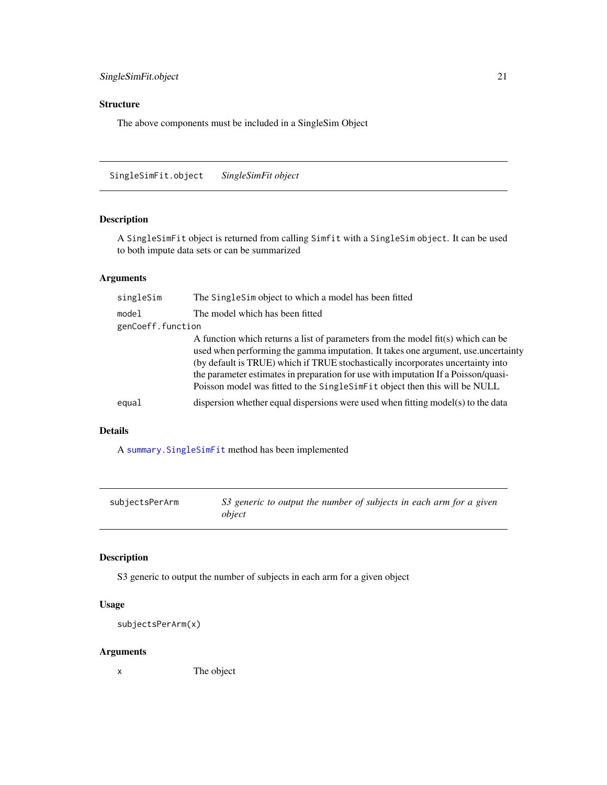# <span id="page-20-0"></span>Structure

The above components must be included in a SingleSim Object

<span id="page-20-1"></span>SingleSimFit.object *SingleSimFit object*

# Description

A SingleSimFit object is returned from calling Simfit with a SingleSim object. It can be used to both impute data sets or can be summarized

# Arguments

| singleSim         | The SingleSim object to which a model has been fitted                                                                                                                                                                                                                                                                                                                                                                          |
|-------------------|--------------------------------------------------------------------------------------------------------------------------------------------------------------------------------------------------------------------------------------------------------------------------------------------------------------------------------------------------------------------------------------------------------------------------------|
| model             | The model which has been fitted                                                                                                                                                                                                                                                                                                                                                                                                |
| genCoeff.function |                                                                                                                                                                                                                                                                                                                                                                                                                                |
|                   | A function which returns a list of parameters from the model $fit(s)$ which can be<br>used when performing the gamma imputation. It takes one argument, use uncertainty<br>(by default is TRUE) which if TRUE stochastically incorporates uncertainty into<br>the parameter estimates in preparation for use with imputation If a Poisson/quasi-<br>Poisson model was fitted to the SingleSimFit object then this will be NULL |
| equal             | dispersion whether equal dispersions were used when fitting model(s) to the data                                                                                                                                                                                                                                                                                                                                               |

# Details

A [summary.SingleSimFit](#page-23-1) method has been implemented

| subjectsPerArm | S3 generic to output the number of subjects in each arm for a given<br>object |
|----------------|-------------------------------------------------------------------------------|
|                |                                                                               |

# Description

S3 generic to output the number of subjects in each arm for a given object

# Usage

```
subjectsPerArm(x)
```
# Arguments

x The object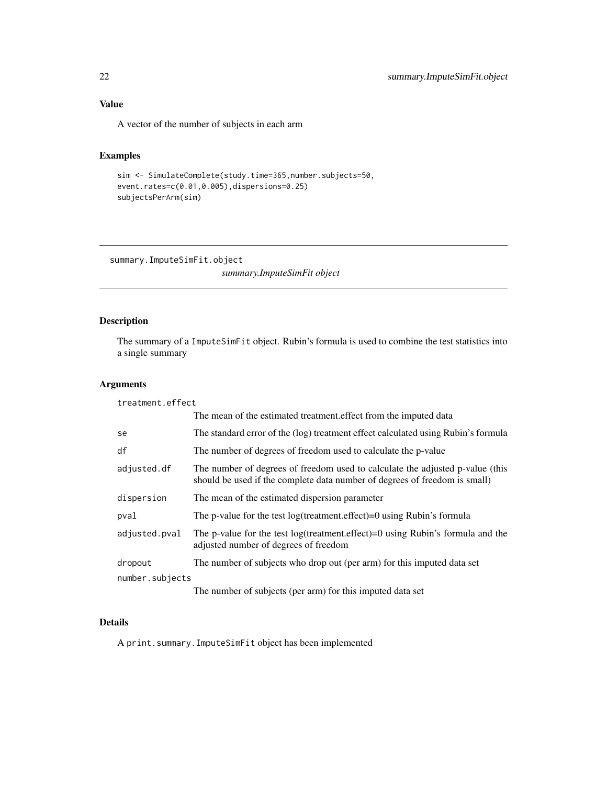# <span id="page-21-0"></span>Value

A vector of the number of subjects in each arm

# Examples

```
sim <- SimulateComplete(study.time=365,number.subjects=50,
event.rates=c(0.01,0.005),dispersions=0.25)
subjectsPerArm(sim)
```
summary.ImputeSimFit.object

*summary.ImputeSimFit object*

# Description

The summary of a ImputeSimFit object. Rubin's formula is used to combine the test statistics into a single summary

#### Arguments

| treatment.effect |                                                                                                                                                             |
|------------------|-------------------------------------------------------------------------------------------------------------------------------------------------------------|
|                  | The mean of the estimated treatment effect from the imputed data                                                                                            |
| se               | The standard error of the (log) treatment effect calculated using Rubin's formula                                                                           |
| df               | The number of degrees of freedom used to calculate the p-value                                                                                              |
| adjusted.df      | The number of degrees of freedom used to calculate the adjusted p-value (this<br>should be used if the complete data number of degrees of freedom is small) |
| dispersion       | The mean of the estimated dispersion parameter                                                                                                              |
| pval             | The p-value for the test $log(treatment.effect)=0$ using Rubin's formula                                                                                    |
| adjusted.pval    | The p-value for the test log(treatment.effect)=0 using Rubin's formula and the<br>adjusted number of degrees of freedom                                     |
| dropout          | The number of subjects who drop out (per arm) for this imputed data set                                                                                     |
| number.subjects  |                                                                                                                                                             |
|                  | The number of subjects (per arm) for this imputed data set                                                                                                  |

## Details

A print.summary.ImputeSimFit object has been implemented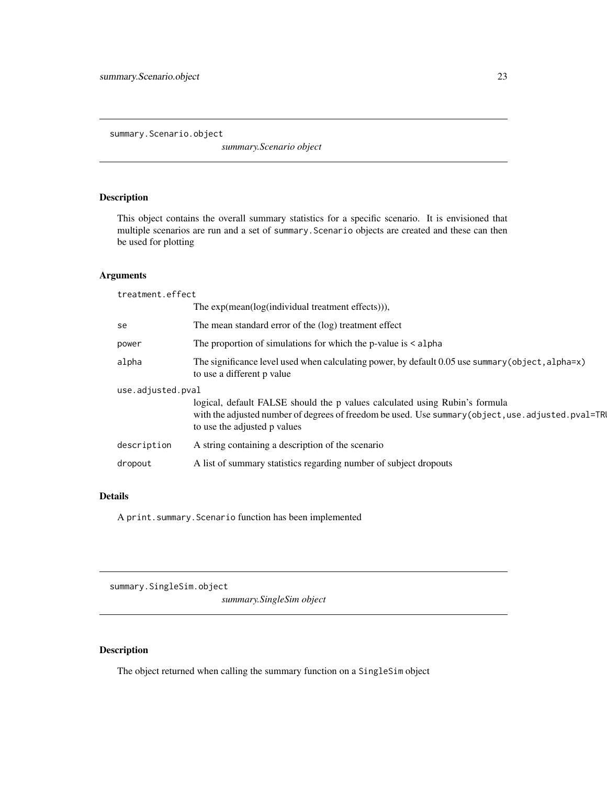<span id="page-22-0"></span>summary.Scenario.object

*summary.Scenario object*

# Description

This object contains the overall summary statistics for a specific scenario. It is envisioned that multiple scenarios are run and a set of summary.Scenario objects are created and these can then be used for plotting

# Arguments

| treatment.effect  |                                                                                                                                                                                                                      |  |
|-------------------|----------------------------------------------------------------------------------------------------------------------------------------------------------------------------------------------------------------------|--|
|                   | The $exp(mean(log(individual treatment effects)))$ ,                                                                                                                                                                 |  |
| se                | The mean standard error of the (log) treatment effect                                                                                                                                                                |  |
| power             | The proportion of simulations for which the p-value is $\leq$ alpha                                                                                                                                                  |  |
| alpha             | The significance level used when calculating power, by default $0.05$ use summary (object, alpha=x)<br>to use a different p value                                                                                    |  |
| use.adjusted.pval |                                                                                                                                                                                                                      |  |
|                   | logical, default FALSE should the p values calculated using Rubin's formula<br>with the adjusted number of degrees of freedom be used. Use summary (object, use . adjusted. pval=TRI<br>to use the adjusted p values |  |
| description       | A string containing a description of the scenario                                                                                                                                                                    |  |
| dropout           | A list of summary statistics regarding number of subject dropouts                                                                                                                                                    |  |

#### Details

A print.summary.Scenario function has been implemented

summary.SingleSim.object

*summary.SingleSim object*

# Description

The object returned when calling the summary function on a SingleSim object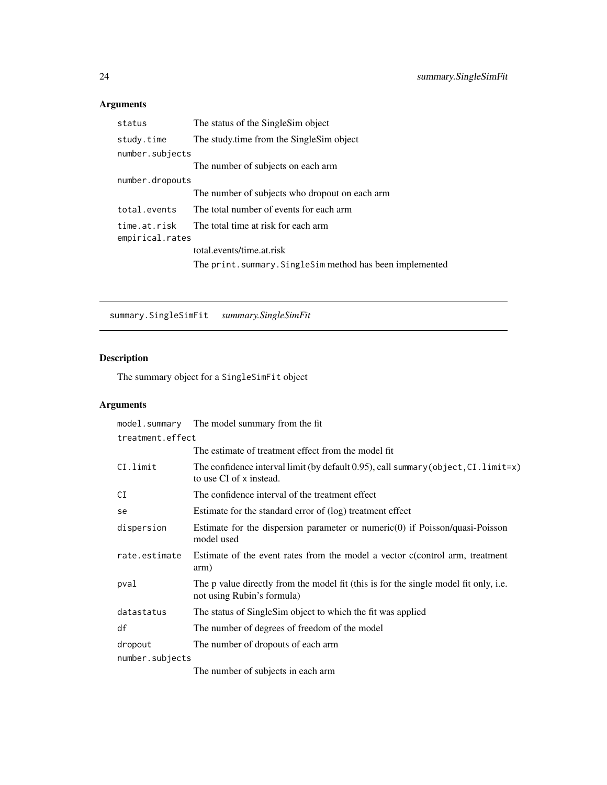# <span id="page-23-0"></span>Arguments

| status                          | The status of the Single Sim object                       |
|---------------------------------|-----------------------------------------------------------|
| study.time                      | The study time from the Single Sim object                 |
| number.subjects                 |                                                           |
|                                 | The number of subjects on each arm                        |
| number.dropouts                 |                                                           |
|                                 | The number of subjects who dropout on each arm            |
| total.events                    | The total number of events for each arm                   |
| time.at.risk<br>empirical.rates | The total time at risk for each arm                       |
|                                 | total.events/time.at.risk                                 |
|                                 | The print. summary. SingleSim method has been implemented |

<span id="page-23-1"></span>summary.SingleSimFit *summary.SingleSimFit*

# Description

The summary object for a SingleSimFit object

# Arguments

| model.summary    | The model summary from the fit                                                                                        |
|------------------|-----------------------------------------------------------------------------------------------------------------------|
| treatment.effect |                                                                                                                       |
|                  | The estimate of treatment effect from the model fit                                                                   |
| CI.limit         | The confidence interval limit (by default 0.95), call summary (object, $CI$ . limit= $x$ )<br>to use CI of x instead. |
| CI               | The confidence interval of the treatment effect                                                                       |
| se               | Estimate for the standard error of (log) treatment effect                                                             |
| dispersion       | Estimate for the dispersion parameter or numeric $(0)$ if Poisson/quasi-Poisson<br>model used                         |
| rate.estimate    | Estimate of the event rates from the model a vector c(control arm, treatment<br>arm)                                  |
| pval             | The p value directly from the model fit (this is for the single model fit only, i.e.<br>not using Rubin's formula)    |
| datastatus       | The status of SingleSim object to which the fit was applied                                                           |
| df               | The number of degrees of freedom of the model                                                                         |
| dropout          | The number of dropouts of each arm                                                                                    |
| number.subjects  |                                                                                                                       |
|                  | The number of subjects in each arm                                                                                    |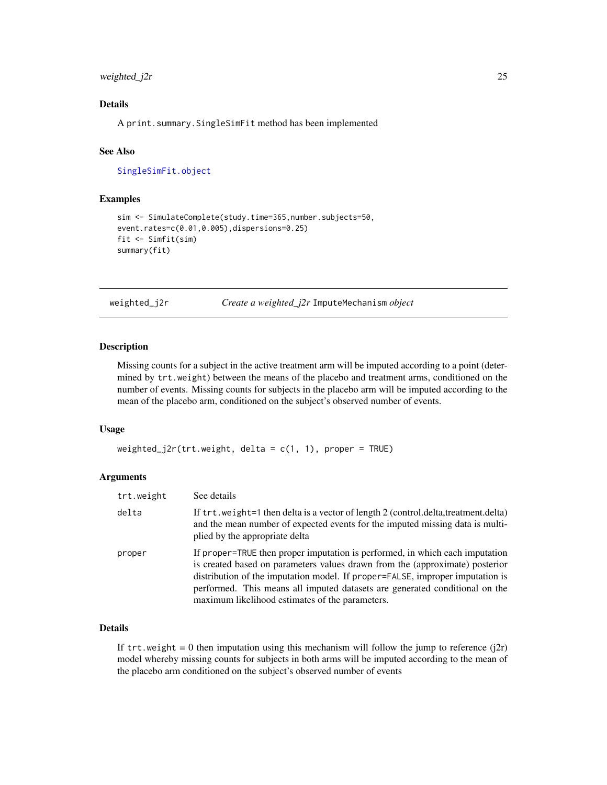# <span id="page-24-0"></span>weighted\_j2r 25

# Details

A print.summary.SingleSimFit method has been implemented

#### See Also

[SingleSimFit.object](#page-20-1)

#### Examples

```
sim <- SimulateComplete(study.time=365,number.subjects=50,
event.rates=c(0.01,0.005),dispersions=0.25)
fit <- Simfit(sim)
summary(fit)
```
<span id="page-24-1"></span>weighted\_j2r *Create a weighted\_j2r* ImputeMechanism *object*

# Description

Missing counts for a subject in the active treatment arm will be imputed according to a point (determined by trt.weight) between the means of the placebo and treatment arms, conditioned on the number of events. Missing counts for subjects in the placebo arm will be imputed according to the mean of the placebo arm, conditioned on the subject's observed number of events.

# Usage

```
weighted_j2r(trt.weight, delta = c(1, 1), proper = TRUE)
```
#### Arguments

| trt.weight | See details                                                                                                                                                                                                                                                                                                                                                                     |
|------------|---------------------------------------------------------------------------------------------------------------------------------------------------------------------------------------------------------------------------------------------------------------------------------------------------------------------------------------------------------------------------------|
| delta      | If trt.weight=1 then delta is a vector of length 2 (control.delta,treatment.delta)<br>and the mean number of expected events for the imputed missing data is multi-<br>plied by the appropriate delta                                                                                                                                                                           |
| proper     | If proper=TRUE then proper imputation is performed, in which each imputation<br>is created based on parameters values drawn from the (approximate) posterior<br>distribution of the imputation model. If proper=FALSE, improper imputation is<br>performed. This means all imputed datasets are generated conditional on the<br>maximum likelihood estimates of the parameters. |

#### Details

If  $trt$  weight = 0 then imputation using this mechanism will follow the jump to reference  $(j2r)$ model whereby missing counts for subjects in both arms will be imputed according to the mean of the placebo arm conditioned on the subject's observed number of events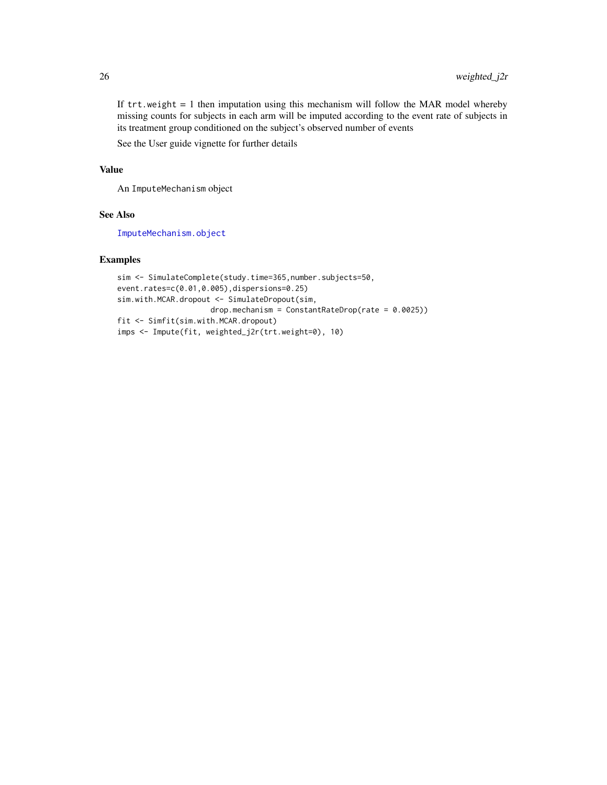<span id="page-25-0"></span>If  $trt$ , weight  $= 1$  then imputation using this mechanism will follow the MAR model whereby missing counts for subjects in each arm will be imputed according to the event rate of subjects in its treatment group conditioned on the subject's observed number of events

See the User guide vignette for further details

#### Value

An ImputeMechanism object

#### See Also

[ImputeMechanism.object](#page-11-1)

#### Examples

```
sim <- SimulateComplete(study.time=365,number.subjects=50,
event.rates=c(0.01,0.005),dispersions=0.25)
sim.with.MCAR.dropout <- SimulateDropout(sim,
                    drop.mechanism = ConstantRateDrop(rate = 0.0025))
fit <- Simfit(sim.with.MCAR.dropout)
imps <- Impute(fit, weighted_j2r(trt.weight=0), 10)
```